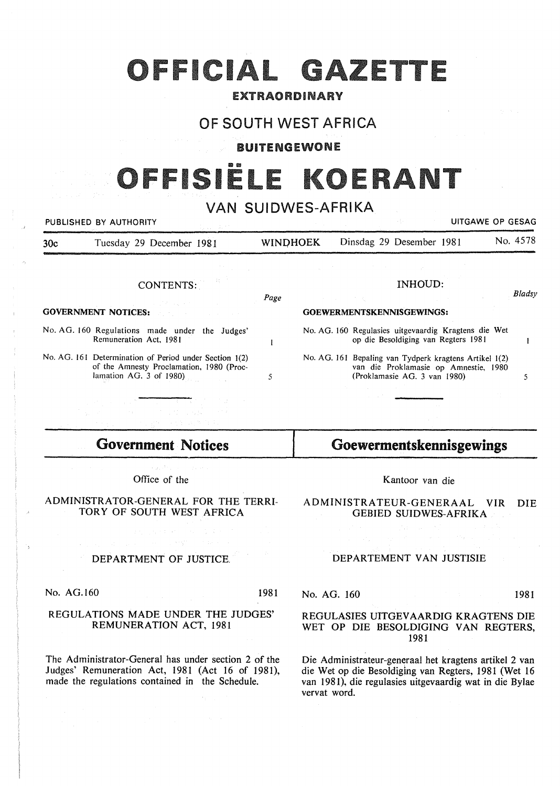# OFFICIAL GAZETTE

### EXTRAORDINARY

## OF SOUTH WEST AFRICA

#### BUITENGEWONE

# <u>191ËL I</u>

## VAN SUIDWES-AFRIKA

|                            | PUBLISHED BY AUTHORITY                                                                                                        | UITGAWE OP GESAG          |  |  |                                                                                                                                 |  |          |
|----------------------------|-------------------------------------------------------------------------------------------------------------------------------|---------------------------|--|--|---------------------------------------------------------------------------------------------------------------------------------|--|----------|
| 30c                        | Tuesday 29 December 1981                                                                                                      | <b>WINDHOEK</b>           |  |  | Dinsdag 29 Desember 1981                                                                                                        |  | No. 4578 |
|                            |                                                                                                                               |                           |  |  | INHOUD:                                                                                                                         |  |          |
|                            | CONTENTS:<br>ga a shekarar 1990 a shekarar 1990.<br>Matukio                                                                   | Page                      |  |  |                                                                                                                                 |  | Bladsy   |
| <b>GOVERNMENT NOTICES:</b> |                                                                                                                               | GOEWERMENTSKENNISGEWINGS: |  |  |                                                                                                                                 |  |          |
|                            | No. AG. 160 Regulations made under the Judges'<br>Remuneration Act, 1981                                                      |                           |  |  | No. AG. 160 Regulasies uitgevaardig Kragtens die Wet<br>op die Besoldiging van Regters 1981                                     |  |          |
|                            | No. AG. 161 Determination of Period under Section 1(2)<br>of the Amnesty Proclamation, 1980 (Proc-<br>lamation AG. 3 of 1980) | 5                         |  |  | No. AG. 161 Bepaling van Tydperk kragtens Artikel 1(2)<br>van die Proklamasie op Amnestie, 1980<br>(Proklamasie AG. 3 van 1980) |  |          |
|                            |                                                                                                                               |                           |  |  |                                                                                                                                 |  |          |

# **Government Notices**

Office of the

ADMINISTRATOR-GENERAL FOR THE TERRI-TORY OF SOUTH WEST AFRICA

### DEPARTMENT OF JUSTICE.

No. AG.160 1981

#### REGULATIONS MADE UNDER THE JUDGES' REMUNERATION ACT, 1981

The Administrator-General has under section 2 of the Judges' Remuneration Act, 1981 (Act 16 of 1981), made the regulations contained in the Schedule.

Kantoor van die

**Goewermentskennisgewings** 

ADMINISTRATEUR-GENERAAL VIR DIE GEBIED SUIDWES-AFRIKA

#### DEPARTEMENT VAN JUSTISIE

No. AG. 160 1981

#### REGULASIES UITGEVAARDIG KRAGTENS DIE WET OP DIE BESOLDIGING VAN REGTERS, 1981

Die Administrateur-generaal het kragtens artikel 2 van die Wet op die Besoldiging van Regters, 1981 (Wet 16 van 1981), die regulasies uitgevaardig wat in die Bylae vervat word.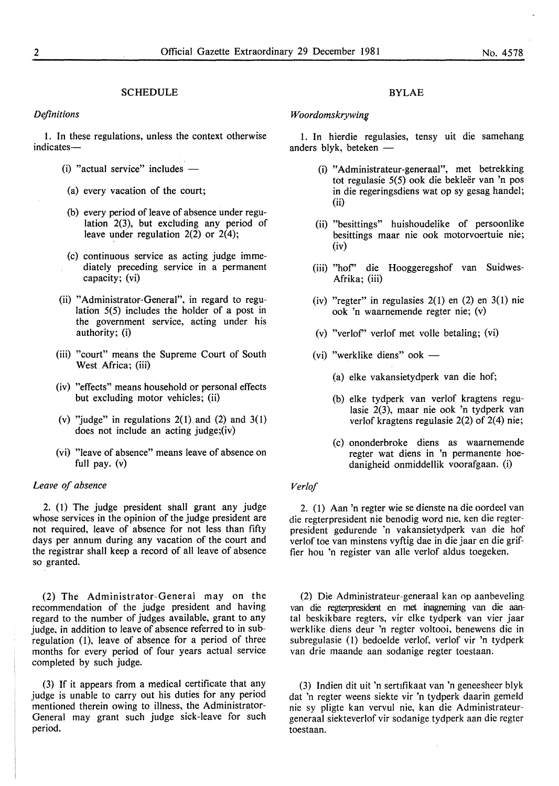#### **SCHEDULE**

*Difinitions* 

I. In these regulations, unless the context otherwise indicates-

- (i) "actual service" includes  $-$
- (a) every vacation of the court;
- (b) every period of leave of absence under regulation 2(3), but excluding any period of leave under regulation  $2(2)$  or  $2(4)$ ;
- (c) continuous service as acting judge immediately preceding seryice in a permanent capacity; (vi)
- (ii) "Administrator-General", in regard to regulation 5(5) includes the holder of a post in the government service, acting under his authority; (i)
- (iii) "court" means the Supreme Court of South West Africa; (iii)
- (iv) "effects" means household or personal effects but excluding motor vehicles; (ii)
- (v) "judge" in regulations  $2(1)$  and  $(2)$  and  $3(1)$ does not include an acting judge;(iv)
- (vi) "leave of absence" means leave of absence on full pay. (v)

#### *Leave of absence*

2. (1) The judge president shall grant any judge whose services in the opinion of the judge president are not required, leave of absence for not less than fifty days per annum during any vacation of the court and the registrar shall keep a record of all leave of absence so granted.

(2) The Administrator-Generai may on the recommendation of the judge president and having regard to the number of judges available, grant to any judge, in addition to leave of absence referred to in subregulation (1), leave of absence for a period of three months for every period of four years actual service completed by such judge.

(3) If it appears from a medical certificate that any judge is unable to carry out his duties for any period mentioned therein owing to illness, the Administrator-General may grant such judge sick-leave for such period.

#### BYLAE

#### $W$ oordomskrywing

1. In hierdie regulasies, tensy uit die samehang anders blyk, beteken  $-$ 

- (i) "Administrateur-generaal", met betrekking tot regulasie 5(5) ook die bekleër van 'n pos in die regeringsdiens wat op sy gesag handel; (ii)
- (ii) "besittings" huishoudelike of persoonlike besittings maar nie ook motorvoertuie nie; (iv)
- (iii) "hof' die Hooggeregshof van Suidwes-Afrika; (iii)
- (iv) "regter" in regulasies  $2(1)$  en  $(2)$  en  $3(1)$  nie ook 'n waarnemende regter nie; (v)
- (v) "verlof' verlof met voile betaling; (vi)
- (vi) "werklike diens" ook  $-$ 
	- (a) elke vakansietydperk van die hof;
	- (b) elke tydperk van verlof kragtens regulasie 2(3), maar nie ook 'n tydperk van verlof kragtens regulasie 2(2) of  $2(4)$  nie;
	- (c) ononderbroke diens as waarnemende regter wat diens in 'n permanente hoedanigheid onmiddellik voorafgaan. (i)

#### *Verlof*

2. (I) Aan 'n regter wie se dienste na die oordeel van die regterpresident nie benodig word nie, ken die regterpresident gedurende 'n vakansietydperk van die hof verlof toe van minstens vyftig dae in die jaar en die griffier hou 'n register van aile verlof aldus toegeken.

(2) Die Administrateur-generaal kan op aanbeveling van die regterpresident en met inagneming van die aantal beskikbare regters, vir elke tydperk van vier jaar werklike diens deur 'n regter voltooi, benewens die in subregulasie (I) bedoelde verlof, verlof vir 'n tydperk van drie maande aan sodanige regter toestaan.

(3) Indien dit uit 'n serufikaat van 'n geneesheer blyk dat 'n regter weens siekte vir 'n tydperk daarin gemeld nie sy pligte kan vervul nie, kan die Administrateurgeneraal siekteverlof vir sodanige tydperk aan die regter toestaan.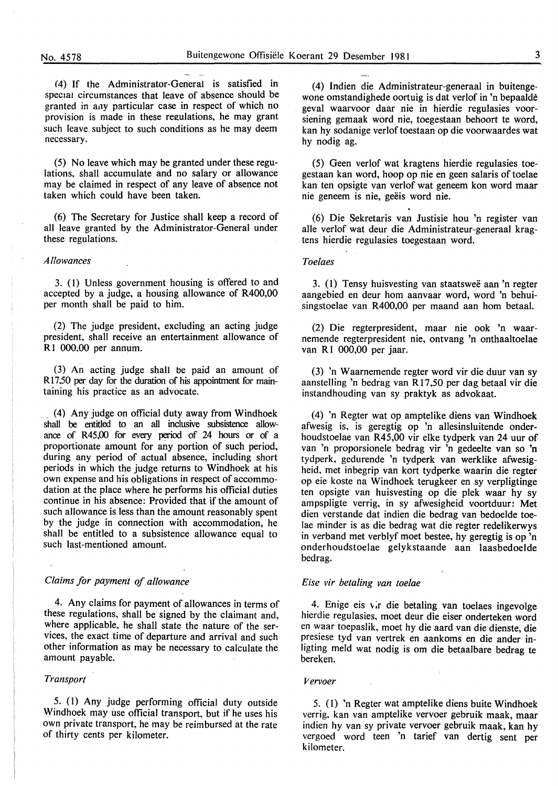(4) If the Administrator-General is satisfied in special circumstances that leave of absence should be granted in a.1y particular case in respect of which no provision is made in these regulations, he may grant such leave subject to such conditions as he may deem necessary.

(5) No leave which may be granted under these regulations, shall accumulate and no salary or allowance may be claimed in respect of any leave of absence not taken which could have been taken.

(6) The Secretary for Justice shall keep a record of all leave granted by the Administrator-General under these regulations.

#### *Allowances*

3. (l) Unless government housing is offered to and accepted by a judge, a housing allowance of R400,00 per month shall be paid to him.

(2) The judge president, excluding an acting judge president, shall receive an entertainment allowance of R I 000,00 per annum.

(3) An acting judge shall be paid an amount of R 17,50 per day for the duration of his appointment for maintaining his practice as an advocate.

\_ (4) Anyjudge on official duty away from Windhoek shall be entitled to an all inclusive subsistence allowance of R45,00 for every period of 24 hours or of a proportionate amount for any portion of such period, during any period of actual absence, including short periods in which the judge returns to Windhoek at his own expense and his obligations in respect of accommodation at the place where he performs his official duties continue in his absence: Provided that if the amount of such allowance is less than the amount reasonably spent by the judge in connection with accommodation, he shall be entitled to a subsistence allowance equal to such last-mentioned amount.

#### *Claims for payment of allowance*

4. Any claims for payment of allowances in terms of these regulations, shall be signed by the claimant and, where applicable, he shall state the nature of the services. the exact time of departure and arrival and such other information as may be necessary to calculate the amount payable.

#### *Transport*

5. (I) Any judge performing official duty outside Windhoek may use official transport, but if he uses his own private transport, he may be reimbursed at the rate of thirty cents per kilometer.

(4) Indien die Administrateur-generaal in buitengewone omstandighede oortuig is dat verlof in 'n bepaalde geval waarvoor daar nie in hierdie regulasies voorsiening gemaak word nie, toegestaan behoort te word, kan hy sodanige verlof toestaan op die voorwaardes wat hy nodig ag.

(5) Geen verlof wat kragtens hierdie regulasies toegestaan kan word, hoop op nie en geen salaris of toelae kan ten opsigte van verlof wat geneem kon word maar nie geneem is nie, geëis word nie.

(6) Die Sekretaris van Justisie hou 'n register van alle verlof wat deur die Administrateur-generaal kragtens hierdie regulasies toegestaan word.

#### *Toelaes*

3. (I) Tensy huisvesting van staatswee aan 'n regter aangebied en deur hom aanvaar word, word 'n behuisingstoelae van R400,00 per maand aan hom betaal.

(2) Die regterpresident, maar nie ook 'n waarnemende regterpresident nie, ontvang 'n onthaaltoelae van R1 000,00 per jaar.

(3) 'n Waarnemende regter word vir die duur van sy aanstelling 'n bedrag van R 17,50 per dag betaal vir die instandhouding van sy praktyk as advokaat.

(4) 'n Regter wat op amptelike diens van Windhoek afwesig is, is geregtig op 'n allesinsluitende onderhoudstoelae van R45,00 vir elke tydperk van 24 uur of van 'n proporsionele bedrag vir 'n gedeelte van so 'n tydperk, gedurende 'n tydperk van werklike afwesigheid. met inbegrip van kort tydperke waarin die regter op eie koste na Windhoek terugkeer en sy verpligtinge ten opsigte van huisvesting op die plek waar hy sy ampspligte verrig, in sy afwesigheid voortduur: Met dien verstande dat indien die bedrag van bedoelde toelae minder is as die bedrag wat die regter redelikerwys in verband met verblyf moet bestee, hy geregtig is op 'n onderhoudstoelae gelykstaande aan laasbedoelde bedrag.

#### *Eise vir betaling van toelae*

4. Enige eis vir die betaling van toelaes ingevolge hierdie regulasies, moet deur die eiser onderteken word en waar toepaslik, moet hy die aard van die dienste, die presiese tyd van vertrek en aankoms en die ander inligting meld wat nodig is om die betaalbare bedrag te bereken.

#### *Vervoer*

5. (I) 'n Regter wat amptelike diens buite Windhoek verrig. kan van amptelike vervoer gebruik maak, maar indien hy van sy private vervoer gebruik maak, kan hy vergoed word teen 'n tarief van dertig sent per kilometer.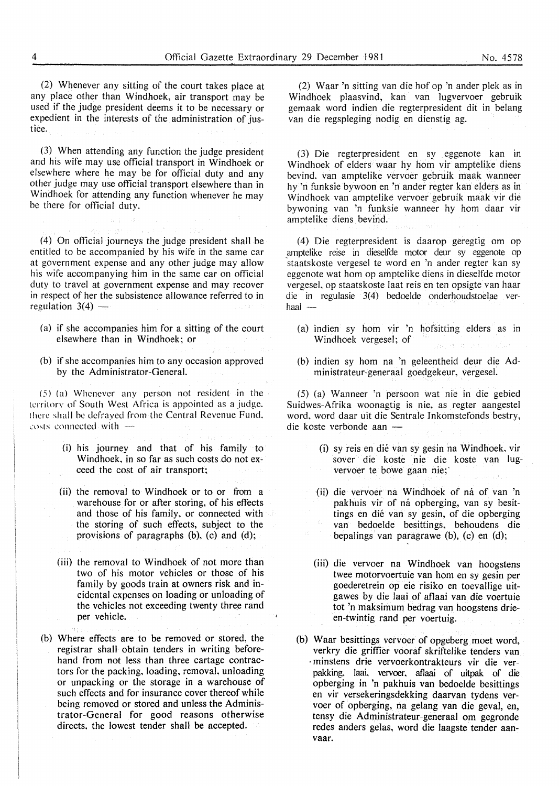(2) Whenever any sitting of the court takes place at any place other than Windhoek, air transport may be used if the judge president deems it to be necessary or expedient in the interests of the administration of justice.

(3) When attending any function the judge president and his wife may use official transport in Windhoek or elsewhere where he may be for official duty and any other judge may use official transport elsewhere than in Windhoek for attending any function whenever he may be there for official duty.

(4) On official journeys the judge president shall be entitled to be accompanied by his wife in the same car at government expense and any other judge may allow his wife accompanying him in the same car on official duty to travel at government expense and may recover in respect of her the subsistence allowance referred to in regulation  $3(4)$  -

- (a) if she accompanies him for a sitting of the court elsewhere than in Windhoek; or
- (b) if she accompanies him to any occasion approved by the Administrator-General.

 $(5)$  (a) Whenever any person not resident in the territory of South West Africa is appointed as a judge. there shall be defrayed from the Central Revenue Fund. costs connected with  $-$ 

- (i) his journey and that of his family to Windhoek, in so far as such costs do not exceed the cost of air transport;
- (ii) the removal to Windhoek or to or from a warehouse for or after storing, of his effects and those of his family, or connected with the storing of such effects, subject to the provisions of paragraphs (b), (c) and (d);

(iii) the removal to Windhoek of not more than two of his motor vehicles or those of his family by goods train at owners risk and incidental expenses on loading or unloading of the vehicles not exceeding twenty three rand per vehicle.

(b) Where effects are to be removed or stored, the registrar shall obtain tenders in writing beforehand from not less than three cartage contractors for the packing, loading, removal, unloading or unpacking or the storage in a warehouse of such effects and for insurance cover thereof while being removed or stored and unless the Administrator-General for good reasons otherwise directs, the lowest tender shall be accepted.

(2) Waar 'n sitting van die hof op 'n ander plek as in Windhoek plaasvind, kan van Iugvervoer gebruik gemaak word indien die regterpresident dit in belang van die regspleging nodig en dienstig ag.

(3) Die regterpresident en sy eggenote kan in Windhoek of elders waar hy hom vir amptelike diens bevind. van amptelike vervoer gebruik maak wanneer hy 'n funksie bywoon en 'n ander regter kan elders as in Windhoek van amptelike vervoer gebruik maak vir die bywoning van 'n funksie wanneer hy hom daar vir amptelike diens bevind.

(4) Die regterpresident is daarop geregtig om op .amptelike reise in dieselfde motor deur sy eggenote op staatskoste vergesel te word en 'n ander regter kan sy eggenote wat hom op amptelike diens in dieselfde motor vergesel. op staatskoste laat reis en ten opsigte van haar die in regulasie 3(4) bedoelde onderhoudstoelae ver $haal$   $-$ 

- (a) indien sy hom vir 'n hofsitting elders as in Windhoek vergesel; of
- (b) indien sy hom na 'n geleentheid deur die Administrateur-generaal goedgekeur. vergesel.

(5) (a) Wanneer 'n persoon wat nie in die gebied Suidwes-Afrika woonagtig is nie, as regter aangestel word. word daar uit die Sentrale Inkomstefonds bestry, die koste verbonde aan -

- (i) sy reis en die van sy gesin na Windhoek, vir sover die koste nie die koste van lugvervoer te bowe gaan nie;
- (ii) die vervoer na Windhoek of na of van 'n pakhuis vir of na opberging, van sy besittings en die van sy gesin, of die opberging van bedoelde besittings, behoudens die bepalings van paragrawe (b), (c) en (d);
- (iii) die vervoer na Windhoek van hoogstens twee motorvoertuie van hom en sy gesin per goederetrein op eie risiko en toevallige uitgawes by die laai of atlaai van die voertuie tot 'n maksimum bedrag van hoogstens drieen-twintig rand per voertuig.
- (b) Waar besittings vervoer of opgeberg moet word, verkry die griffier vooraf skriftelike tenders van · minstens drie vervoerkontrakteurs vir die verpakking, laai, vervoer, aflaai of uitpak of die opberging in 'n pakhuis van bedoelde besittings en vir versekeringsdekking daarvan tydens vervoer of opberging, na gelang van die geval, en, tensy die Administrateur-generaal om gegronde redes anders gelas, word die laagste tender aanvaar.